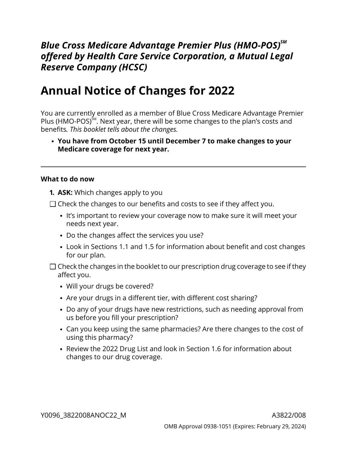## *Blue Cross Medicare Advantage Premier Plus (HMO-POS)SM offered by Health Care Service Corporation, a Mutual Legal Reserve Company (HCSC)*

# **Annual Notice of Changes for 2022**

You are currently enrolled as a member of Blue Cross Medicare Advantage Premier Plus (HMO-POS) $^{5M}$ . Next year, there will be some changes to the plan's costs and benefits*. This booklet tells about the changes.*

**You have from October 15 until December 7 to make changes to your Medicare coverage for next year.**

#### **What to do now**

- **1. ASK:** Which changes apply to you
- $\Box$  Check the changes to our benefits and costs to see if they affect you.
	- It's important to review your coverage now to make sure it will meet your needs next year.
	- Do the changes affect the services you use?
	- Look in Sections [1.1](#page-8-0) and [1.5](#page-10-0) for information about benefit and cost changes for our plan.
- $\Box$  Check the changes in the booklet to our prescription drug coverage to see if they affect you.
	- Will your drugs be covered?
	- Are your drugs in a different tier, with different cost sharing?
	- Do any of your drugs have new restrictions, such as needing approval from us before you fill your prescription?
	- Can you keep using the same pharmacies? Are there changes to the cost of using this pharmacy?
	- Review the 2022 Drug List and look in Section [1.6](#page-13-0) for information about changes to our drug coverage.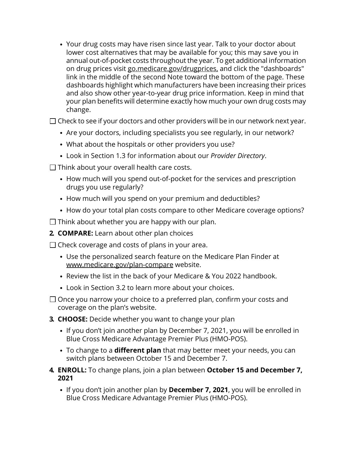Your drug costs may have risen since last year. Talk to your doctor about lower cost alternatives that may be available for you; this may save you in annual out-of-pocket costs throughout the year. To get additional information on drug prices visit [go.medicare.gov/drugprices,](https://go.medicare.gov/drugprices) and click the "dashboards" link in the middle of the second Note toward the bottom of the page. These dashboards highlight which manufacturers have been increasing their prices and also show other year-to-year drug price information. Keep in mind that your plan benefits will determine exactly how much your own drug costs may change.

 $\square$  Check to see if your doctors and other providers will be in our network next year.

- Are your doctors, including specialists you see regularly, in our network?
- What about the hospitals or other providers you use?
- Look in Section [1.3](#page-9-0) for information about our *Provider Directory*.
- $\Box$  Think about your overall health care costs.
	- How much will you spend out-of-pocket for the services and prescription drugs you use regularly?
	- How much will you spend on your premium and deductibles?
	- How do your total plan costs compare to other Medicare coverage options?

 $\Box$  Think about whether you are happy with our plan.

**2. COMPARE:** Learn about other plan choices

 $\Box$  Check coverage and costs of plans in your area.

- Use the personalized search feature on the Medicare Plan Finder at [www.medicare.gov/plan-compare](http://www.medicare.gov/plan-compare) website.
- Review the list in the back of your Medicare & You 2022 handbook.
- Look in Section [3.2](#page-18-0) to learn more about your choices.
- $\Box$  Once you narrow your choice to a preferred plan, confirm your costs and coverage on the plan's website.
- **3. CHOOSE:** Decide whether you want to change your plan
	- If you don't join another plan by December 7, 2021, you will be enrolled in Blue Cross Medicare Advantage Premier Plus (HMO-POS).
	- To change to a **different plan** that may better meet your needs, you can switch plans between October 15 and December 7.
- **4. ENROLL:** To change plans, join a plan between **October 15 and December 7, 2021**
	- If you don't join another plan by **December 7, 2021**, you will be enrolled in Blue Cross Medicare Advantage Premier Plus (HMO-POS).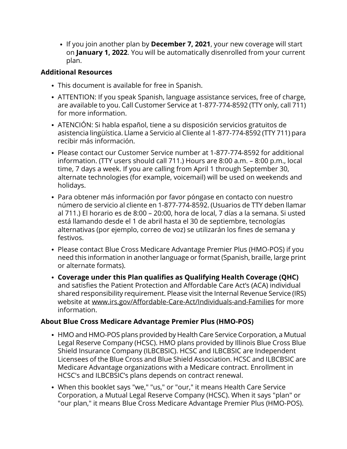If you join another plan by **December 7, 2021**, your new coverage will start on **January 1, 2022**. You will be automatically disenrolled from your current plan.

### **Additional Resources**

- This document is available for free in Spanish.
- ATTENTION: If you speak Spanish, language assistance services, free of charge, are available to you. Call Customer Service at 1-877-774-8592 (TTY only, call 711) for more information.
- ATENCIÓN: Si habla español, tiene a su disposición servicios gratuitos de asistencia lingüística. Llame a Servicio al Cliente al 1-877-774-8592 (TTY 711) para recibir más información.
- Please contact our Customer Service number at 1-877-774-8592 for additional information. (TTY users should call 711.) Hours are 8:00 a.m. – 8:00 p.m., local time, 7 days a week. If you are calling from April 1 through September 30, alternate technologies (for example, voicemail) will be used on weekends and holidays.
- Para obtener más información por favor póngase en contacto con nuestro número de servicio al cliente en 1-877-774-8592. (Usuarios de TTY deben llamar al 711.) El horario es de 8:00 – 20:00, hora de local, 7 días a la semana. Si usted está llamando desde el 1 de abril hasta el 30 de septiembre, tecnologías alternativas (por ejemplo, correo de voz) se utilizarán los fines de semana y festivos.
- Please contact Blue Cross Medicare Advantage Premier Plus (HMO-POS) if you need this information in another language or format (Spanish, braille, large print or alternate formats).
- **Coverage under this Plan qualifies as Qualifying Health Coverage (QHC)** and satisfies the Patient Protection and Affordable Care Act's (ACA) individual shared responsibility requirement. Please visit the Internal Revenue Service (IRS) website at [www.irs.gov/Affordable-Care-Act/Individuals-and-Families](http://www.irs.gov/Affordable-Care-Act/Individuals-and-Families) for more information.

### **About Blue Cross Medicare Advantage Premier Plus (HMO-POS)**

- HMO and HMO-POS plans provided by Health Care Service Corporation, a Mutual Legal Reserve Company (HCSC). HMO plans provided by Illinois Blue Cross Blue Shield Insurance Company (ILBCBSIC). HCSC and ILBCBSIC are Independent Licensees of the Blue Cross and Blue Shield Association. HCSC and ILBCBSIC are Medicare Advantage organizations with a Medicare contract. Enrollment in HCSC's and ILBCBSIC's plans depends on contract renewal.
- When this booklet says "we," "us," or "our," it means Health Care Service Corporation, a Mutual Legal Reserve Company (HCSC). When it says "plan" or "our plan," it means Blue Cross Medicare Advantage Premier Plus (HMO-POS).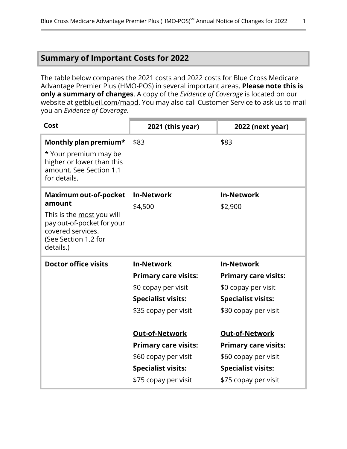### <span id="page-3-0"></span>**Summary of Important Costs for 2022**

The table below compares the 2021 costs and 2022 costs for Blue Cross Medicare Advantage Premier Plus (HMO-POS) in several important areas. **Please note this is only a summary of changes**. A copy of the *Evidence of Coverage* is located on our website at [getblueil.com/mapd](https://www.bcbsil.com/medicare/blue-cross-medicare-options/mapd). You may also call Customer Service to ask us to mail you an *Evidence of Coverage*.

| Cost                                                                                                                                                               | 2021 (this year)                                                                                                                                                                                             | 2022 (next year)                                                                                                                                                                                             |
|--------------------------------------------------------------------------------------------------------------------------------------------------------------------|--------------------------------------------------------------------------------------------------------------------------------------------------------------------------------------------------------------|--------------------------------------------------------------------------------------------------------------------------------------------------------------------------------------------------------------|
| Monthly plan premium*<br>* Your premium may be<br>higher or lower than this<br>amount. See Section 1.1<br>for details.                                             | \$83                                                                                                                                                                                                         | \$83                                                                                                                                                                                                         |
| <b>Maximum out-of-pocket</b><br>amount<br>This is the <u>most</u> you will<br>pay out-of-pocket for your<br>covered services.<br>(See Section 1.2 for<br>details.) | <b>In-Network</b><br>\$4,500                                                                                                                                                                                 | <b>In-Network</b><br>\$2,900                                                                                                                                                                                 |
| <b>Doctor office visits</b>                                                                                                                                        | <b>In-Network</b><br><b>Primary care visits:</b><br>\$0 copay per visit<br><b>Specialist visits:</b><br>\$35 copay per visit<br><b>Out-of-Network</b><br><b>Primary care visits:</b><br>\$60 copay per visit | <b>In-Network</b><br><b>Primary care visits:</b><br>\$0 copay per visit<br><b>Specialist visits:</b><br>\$30 copay per visit<br><b>Out-of-Network</b><br><b>Primary care visits:</b><br>\$60 copay per visit |
|                                                                                                                                                                    | <b>Specialist visits:</b><br>\$75 copay per visit                                                                                                                                                            | <b>Specialist visits:</b><br>\$75 copay per visit                                                                                                                                                            |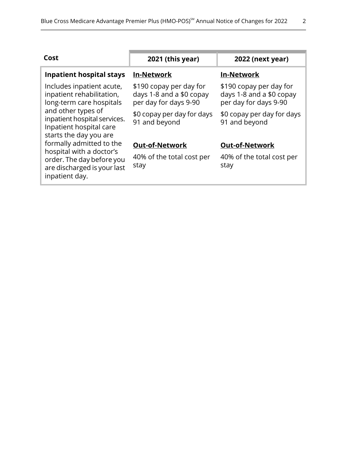| Cost                                                                                                    | 2021 (this year)                                                             | 2022 (next year)                                                             |
|---------------------------------------------------------------------------------------------------------|------------------------------------------------------------------------------|------------------------------------------------------------------------------|
| <b>Inpatient hospital stays</b>                                                                         | <b>In-Network</b>                                                            | <b>In-Network</b>                                                            |
| Includes inpatient acute,<br>inpatient rehabilitation,<br>long-term care hospitals                      | \$190 copay per day for<br>days 1-8 and a \$0 copay<br>per day for days 9-90 | \$190 copay per day for<br>days 1-8 and a \$0 copay<br>per day for days 9-90 |
| and other types of<br>inpatient hospital services.<br>Inpatient hospital care<br>starts the day you are | \$0 copay per day for days<br>91 and beyond                                  | \$0 copay per day for days<br>91 and beyond                                  |
| formally admitted to the                                                                                | <b>Out-of-Network</b>                                                        | <b>Out-of-Network</b>                                                        |
| hospital with a doctor's<br>order. The day before you<br>are discharged is your last<br>inpatient day.  | 40% of the total cost per<br>stay                                            | 40% of the total cost per<br>stay                                            |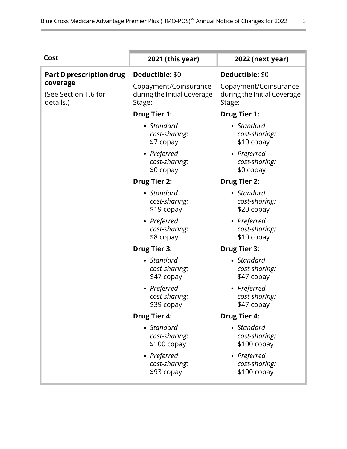| Cost                                          | 2021 (this year)                                               | 2022 (next year)                                               |
|-----------------------------------------------|----------------------------------------------------------------|----------------------------------------------------------------|
| Part D prescription drug                      | Deductible: \$0                                                | Deductible: \$0                                                |
| coverage<br>(See Section 1.6 for<br>details.) | Copayment/Coinsurance<br>during the Initial Coverage<br>Stage: | Copayment/Coinsurance<br>during the Initial Coverage<br>Stage: |
|                                               | <b>Drug Tier 1:</b>                                            | <b>Drug Tier 1:</b>                                            |
|                                               | • Standard<br>cost-sharing:<br>\$7 copay                       | • Standard<br>cost-sharing:<br>\$10 copay                      |
|                                               | • Preferred<br>cost-sharing:<br>\$0 copay                      | • Preferred<br>cost-sharing:<br>\$0 copay                      |
|                                               | <b>Drug Tier 2:</b>                                            | <b>Drug Tier 2:</b>                                            |
|                                               | • Standard<br>cost-sharing:<br>\$19 copay                      | • Standard<br>cost-sharing:<br>\$20 copay                      |
|                                               | • Preferred<br>cost-sharing:<br>\$8 copay                      | • Preferred<br>cost-sharing:<br>\$10 copay                     |
|                                               | <b>Drug Tier 3:</b>                                            | <b>Drug Tier 3:</b>                                            |
|                                               | • Standard<br>cost-sharing:<br>\$47 copay                      | • Standard<br>cost-sharing:<br>\$47 copay                      |
|                                               | • Preferred<br>cost-sharing:<br>\$39 copay                     | • Preferred<br>cost-sharing:<br>\$47 copay                     |
|                                               | <b>Drug Tier 4:</b>                                            | <b>Drug Tier 4:</b>                                            |
|                                               | • Standard<br>cost-sharing:<br>$$100$ copay                    | • Standard<br>cost-sharing:<br>$$100$ copay                    |
|                                               | • Preferred<br>cost-sharing:<br>\$93 copay                     | • Preferred<br>cost-sharing:<br>$$100$ copay                   |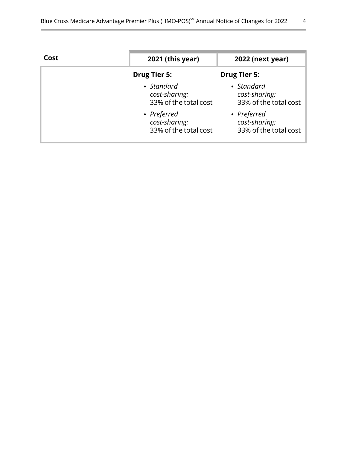| Cost | 2021 (this year)                                      | <b>2022 (next year)</b>                               |
|------|-------------------------------------------------------|-------------------------------------------------------|
|      | <b>Drug Tier 5:</b>                                   | <b>Drug Tier 5:</b>                                   |
|      | • Standard<br>cost-sharing:<br>33% of the total cost  | • Standard<br>cost-sharing:<br>33% of the total cost  |
|      | • Preferred<br>cost-sharing:<br>33% of the total cost | • Preferred<br>cost-sharing:<br>33% of the total cost |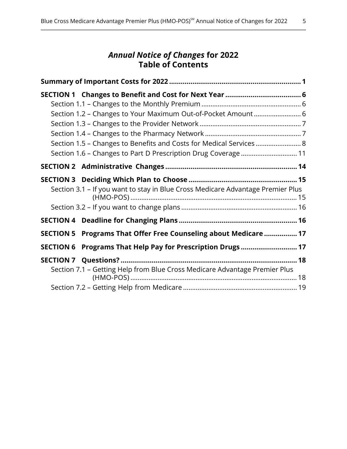### *Annual Notice of Changes* **for 2022 Table of Contents**

| Section 1.2 - Changes to Your Maximum Out-of-Pocket Amount 6<br>Section 1.5 - Changes to Benefits and Costs for Medical Services 8<br>Section 1.6 - Changes to Part D Prescription Drug Coverage  11 |  |
|------------------------------------------------------------------------------------------------------------------------------------------------------------------------------------------------------|--|
|                                                                                                                                                                                                      |  |
| Section 3.1 – If you want to stay in Blue Cross Medicare Advantage Premier Plus                                                                                                                      |  |
|                                                                                                                                                                                                      |  |
| SECTION 5 Programs That Offer Free Counseling about Medicare  17                                                                                                                                     |  |
| Programs That Help Pay for Prescription Drugs 17<br><b>SECTION 6</b>                                                                                                                                 |  |
| Section 7.1 - Getting Help from Blue Cross Medicare Advantage Premier Plus                                                                                                                           |  |
|                                                                                                                                                                                                      |  |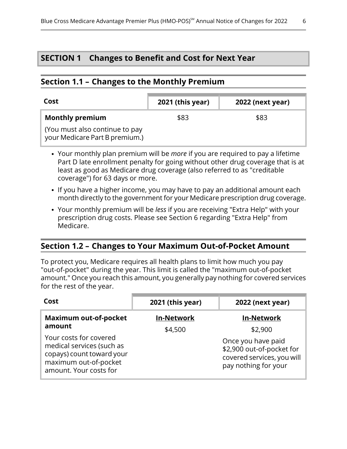### <span id="page-8-2"></span>**SECTION 1 Changes to Benefit and Cost for Next Year**

### <span id="page-8-0"></span>**Section 1.1 – Changes to the Monthly Premium**

l

| Cost                                                             | 2021 (this year) | <b>2022 (next year)</b> |
|------------------------------------------------------------------|------------------|-------------------------|
| <b>Monthly premium</b>                                           | \$83             | \$83                    |
| (You must also continue to pay<br>your Medicare Part B premium.) |                  |                         |

- Your monthly plan premium will be *more* if you are required to pay a lifetime Part D late enrollment penalty for going without other drug coverage that is at least as good as Medicare drug coverage (also referred to as "creditable coverage") for 63 days or more.
- If you have a higher income, you may have to pay an additional amount each month directly to the government for your Medicare prescription drug coverage.
- <span id="page-8-1"></span>Your monthly premium will be *less* if you are receiving "Extra Help" with your prescription drug costs. Please see Section [6](#page-19-1) regarding "Extra Help" from Medicare.

### **Section 1.2 – Changes to Your Maximum Out-of-Pocket Amount**

To protect you, Medicare requires all health plans to limit how much you pay "out-of-pocket" during the year. This limit is called the "maximum out-of-pocket amount." Once you reach this amount, you generally pay nothing for covered services for the rest of the year.

| Cost                                                                                                                                | 2021 (this year)  | <b>2022 (next year)</b>                                                                               |
|-------------------------------------------------------------------------------------------------------------------------------------|-------------------|-------------------------------------------------------------------------------------------------------|
| <b>Maximum out-of-pocket</b>                                                                                                        | <b>In-Network</b> | <b>In-Network</b>                                                                                     |
| amount                                                                                                                              | \$4,500           | \$2,900                                                                                               |
| Your costs for covered<br>medical services (such as<br>copays) count toward your<br>maximum out-of-pocket<br>amount. Your costs for |                   | Once you have paid<br>\$2,900 out-of-pocket for<br>covered services, you will<br>pay nothing for your |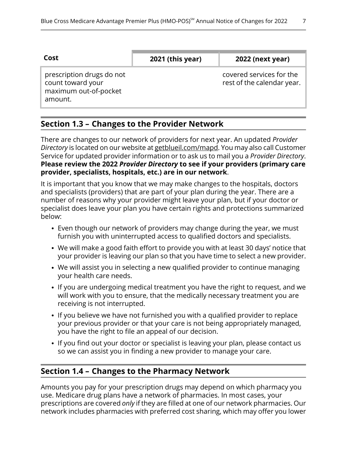| Cost                      | <b>2021 (this year)</b> | <b>2022 (next year)</b>    |
|---------------------------|-------------------------|----------------------------|
| prescription drugs do not |                         | covered services for the   |
| count toward your         |                         | rest of the calendar year. |

**Section 1.3 – Changes to the Provider Network**

maximum out-of-pocket

<span id="page-9-0"></span>amount.

l

l

There are changes to our network of providers for next year. An updated *Provider Directory* is located on our website at [getblueil.com/mapd.](https://www.bcbsil.com/medicare/blue-cross-medicare-options/mapd) You may also call Customer Service for updated provider information or to ask us to mail you a *Provider Directory*. **Please review the 2022** *Provider Directory* **to see if your providers (primary care provider, specialists, hospitals, etc.) are in our network**.

It is important that you know that we may make changes to the hospitals, doctors and specialists (providers) that are part of your plan during the year. There are a number of reasons why your provider might leave your plan, but if your doctor or specialist does leave your plan you have certain rights and protections summarized below:

- Even though our network of providers may change during the year, we must furnish you with uninterrupted access to qualified doctors and specialists.
- We will make a good faith effort to provide you with at least 30 days' notice that your provider is leaving our plan so that you have time to select a new provider.
- We will assist you in selecting a new qualified provider to continue managing your health care needs.
- If you are undergoing medical treatment you have the right to request, and we will work with you to ensure, that the medically necessary treatment you are receiving is not interrupted.
- If you believe we have not furnished you with a qualified provider to replace your previous provider or that your care is not being appropriately managed, you have the right to file an appeal of our decision.
- <span id="page-9-1"></span>• If you find out your doctor or specialist is leaving your plan, please contact us so we can assist you in finding a new provider to manage your care.

### **Section 1.4 – Changes to the Pharmacy Network**

Amounts you pay for your prescription drugs may depend on which pharmacy you use. Medicare drug plans have a network of pharmacies. In most cases, your prescriptions are covered *only* if they are filled at one of our network pharmacies. Our network includes pharmacies with preferred cost sharing, which may offer you lower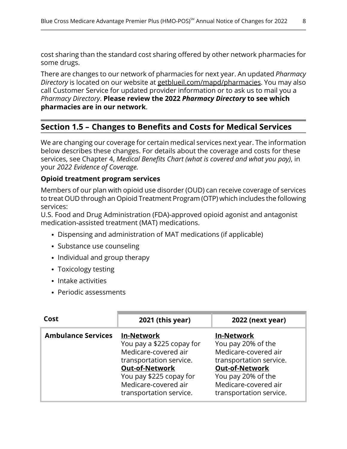cost sharing than the standard cost sharing offered by other network pharmacies for some drugs.

There are changes to our network of pharmacies for next year. An updated *Pharmacy Directory* is located on our website at [getblueil.com/mapd/pharmacies](https://www.bcbsil.com/medicare/blue-cross-medicare-options/mapd/using-your-plan/pharmacies). You may also call Customer Service for updated provider information or to ask us to mail you a *Pharmacy Directory*. **Please review the 2022** *Pharmacy Directory* **to see which pharmacies are in our network**.

### **Section 1.5 – Changes to Benefits and Costs for Medical Services**

We are changing our coverage for certain medical services next year. The information below describes these changes. For details about the coverage and costs for these services, see Chapter 4, *Medical Benefits Chart (what is covered and what you pay)*, in your *2022 Evidence of Coverage.*

#### **Opioid treatment program services**

Members of our plan with opioid use disorder (OUD) can receive coverage of services to treat OUD through an Opioid Treatment Program (OTP) which includes the following services:

U.S. Food and Drug Administration (FDA)-approved opioid agonist and antagonist medication-assisted treatment (MAT) medications.

- Dispensing and administration of MAT medications (if applicable)
- Substance use counseling
- Individual and group therapy
- Toxicology testing
- Intake activities

<span id="page-10-0"></span>l

• Periodic assessments

| Cost                      | 2021 (this year)                                                                                                                                                                                  | 2022 (next year)                                                                                                                                                                      |
|---------------------------|---------------------------------------------------------------------------------------------------------------------------------------------------------------------------------------------------|---------------------------------------------------------------------------------------------------------------------------------------------------------------------------------------|
| <b>Ambulance Services</b> | <b>In-Network</b><br>You pay a \$225 copay for<br>Medicare-covered air<br>transportation service.<br>Out-of-Network<br>You pay \$225 copay for<br>Medicare-covered air<br>transportation service. | <b>In-Network</b><br>You pay 20% of the<br>Medicare-covered air<br>transportation service.<br>Out-of-Network<br>You pay 20% of the<br>Medicare-covered air<br>transportation service. |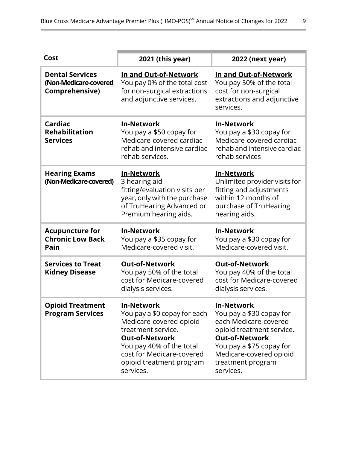| Cost                                                                     | 2021 (this year)                                                                                                                                                                                                              | 2022 (next year)                                                                                                                                                                                                      |
|--------------------------------------------------------------------------|-------------------------------------------------------------------------------------------------------------------------------------------------------------------------------------------------------------------------------|-----------------------------------------------------------------------------------------------------------------------------------------------------------------------------------------------------------------------|
| <b>Dental Services</b><br>(Non-Medicare-covered<br><b>Comprehensive)</b> | In and Out-of-Network<br>You pay 0% of the total cost<br>for non-surgical extractions<br>and adjunctive services.                                                                                                             | In and Out-of-Network<br>You pay 50% of the total<br>cost for non-surgical<br>extractions and adjunctive<br>services.                                                                                                 |
| Cardiac<br><b>Rehabilitation</b><br><b>Services</b>                      | <b>In-Network</b><br>You pay a \$50 copay for<br>Medicare-covered cardiac<br>rehab and intensive cardiac<br>rehab services.                                                                                                   | <b>In-Network</b><br>You pay a \$30 copay for<br>Medicare-covered cardiac<br>rehab and intensive cardiac<br>rehab services                                                                                            |
| <b>Hearing Exams</b><br>(Non-Medicare-covered)                           | <b>In-Network</b><br>3 hearing aid<br>fitting/evaluation visits per<br>year, only with the purchase<br>of TruHearing Advanced or<br>Premium hearing aids.                                                                     | <b>In-Network</b><br>Unlimited provider visits for<br>fitting and adjustments<br>within 12 months of<br>purchase of TruHearing<br>hearing aids.                                                                       |
| <b>Acupuncture for</b><br><b>Chronic Low Back</b><br>Pain                | <b>In-Network</b><br>You pay a \$35 copay for<br>Medicare-covered visit.                                                                                                                                                      | <b>In-Network</b><br>You pay a \$30 copay for<br>Medicare-covered visit.                                                                                                                                              |
| <b>Services to Treat</b><br><b>Kidney Disease</b>                        | <b>Out-of-Network</b><br>You pay 50% of the total<br>cost for Medicare-covered<br>dialysis services.                                                                                                                          | <b>Out-of-Network</b><br>You pay 40% of the total<br>cost for Medicare-covered<br>dialysis services.                                                                                                                  |
| <b>Opioid Treatment</b><br><b>Program Services</b>                       | <b>In-Network</b><br>You pay a \$0 copay for each<br>Medicare-covered opioid<br>treatment service.<br><b>Out-of-Network</b><br>You pay 40% of the total<br>cost for Medicare-covered<br>opioid treatment program<br>services. | <b>In-Network</b><br>You pay a \$30 copay for<br>each Medicare-covered<br>opioid treatment service.<br><b>Out-of-Network</b><br>You pay a \$75 copay for<br>Medicare-covered opioid<br>treatment program<br>services. |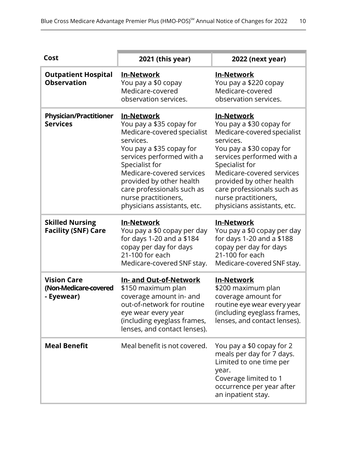| Cost                                                      | 2021 (this year)                                                                                                                                                                                                                                                                                                   | 2022 (next year)                                                                                                                                                                                                                                                                                            |
|-----------------------------------------------------------|--------------------------------------------------------------------------------------------------------------------------------------------------------------------------------------------------------------------------------------------------------------------------------------------------------------------|-------------------------------------------------------------------------------------------------------------------------------------------------------------------------------------------------------------------------------------------------------------------------------------------------------------|
| <b>Outpatient Hospital</b><br><b>Observation</b>          | <b>In-Network</b><br>You pay a \$0 copay<br>Medicare-covered<br>observation services.                                                                                                                                                                                                                              | <u>In-Network</u><br>You pay a \$220 copay<br>Medicare-covered<br>observation services.                                                                                                                                                                                                                     |
| <b>Physician/Practitioner</b><br><b>Services</b>          | <b>In-Network</b><br>You pay a \$35 copay for<br>Medicare-covered specialist<br>services.<br>You pay a \$35 copay for<br>services performed with a<br>Specialist for<br>Medicare-covered services<br>provided by other health<br>care professionals such as<br>nurse practitioners,<br>physicians assistants, etc. | In-Network<br>You pay a \$30 copay for<br>Medicare-covered specialist<br>services.<br>You pay a \$30 copay for<br>services performed with a<br>Specialist for<br>Medicare-covered services<br>provided by other health<br>care professionals such as<br>nurse practitioners,<br>physicians assistants, etc. |
| <b>Skilled Nursing</b><br><b>Facility (SNF) Care</b>      | <b>In-Network</b><br>You pay a \$0 copay per day<br>for days 1-20 and a \$184<br>copay per day for days<br>21-100 for each<br>Medicare-covered SNF stay.                                                                                                                                                           | <b>In-Network</b><br>You pay a \$0 copay per day<br>for days 1-20 and a \$188<br>copay per day for days<br>21-100 for each<br>Medicare-covered SNF stay.                                                                                                                                                    |
| <b>Vision Care</b><br>(Non-Medicare-covered<br>- Eyewear) | In- and Out-of-Network<br>\$150 maximum plan<br>coverage amount in- and<br>out-of-network for routine<br>eye wear every year<br>(including eyeglass frames,<br>lenses, and contact lenses).                                                                                                                        | <b>In-Network</b><br>\$200 maximum plan<br>coverage amount for<br>routine eye wear every year<br>(including eyeglass frames,<br>lenses, and contact lenses).                                                                                                                                                |
| <b>Meal Benefit</b>                                       | Meal benefit is not covered.                                                                                                                                                                                                                                                                                       | You pay a \$0 copay for 2<br>meals per day for 7 days.<br>Limited to one time per<br>year.<br>Coverage limited to 1<br>occurrence per year after<br>an inpatient stay.                                                                                                                                      |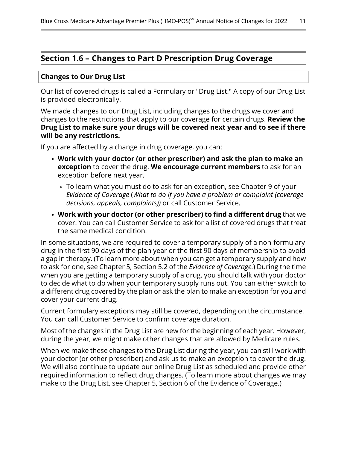### <span id="page-13-0"></span>**Section 1.6 – Changes to Part D Prescription Drug Coverage**

#### **Changes to Our Drug List**

Our list of covered drugs is called a Formulary or "Drug List." A copy of our Drug List is provided electronically.

We made changes to our Drug List, including changes to the drugs we cover and changes to the restrictions that apply to our coverage for certain drugs. **Review the Drug List to make sure your drugs will be covered next year and to see if there will be any restrictions.**

If you are affected by a change in drug coverage, you can:

- **Work with your doctor (or other prescriber) and ask the plan to make an exception** to cover the drug. **We encourage current members** to ask for an exception before next year.
	- To learn what you must do to ask for an exception, see Chapter 9 of your *Evidence of Coverage* (*What to do if you have a problem or complaint (coverage decisions, appeals, complaints))* or call Customer Service.
- **Work with your doctor (or other prescriber) to find a different drug** that we cover. You can call Customer Service to ask for a list of covered drugs that treat the same medical condition.

In some situations, we are required to cover a temporary supply of a non-formulary drug in the first 90 days of the plan year or the first 90 days of membership to avoid a gap in therapy. (To learn more about when you can get a temporary supply and how to ask for one, see Chapter 5, Section 5.2 of the *Evidence of Coverage.*) During the time when you are getting a temporary supply of a drug, you should talk with your doctor to decide what to do when your temporary supply runs out. You can either switch to a different drug covered by the plan or ask the plan to make an exception for you and cover your current drug.

Current formulary exceptions may still be covered, depending on the circumstance. You can call Customer Service to confirm coverage duration.

Most of the changes in the Drug List are new for the beginning of each year. However, during the year, we might make other changes that are allowed by Medicare rules.

When we make these changes to the Drug List during the year, you can still work with your doctor (or other prescriber) and ask us to make an exception to cover the drug. We will also continue to update our online Drug List as scheduled and provide other required information to reflect drug changes. (To learn more about changes we may make to the Drug List, see Chapter 5, Section 6 of the Evidence of Coverage.)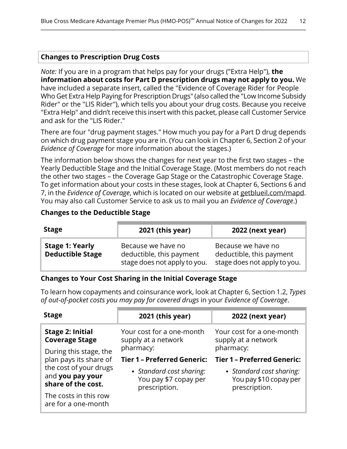#### **Changes to Prescription Drug Costs**

*Note:* If you are in a program that helps pay for your drugs ("Extra Help"), **the information about costs for Part D prescription drugs may not apply to you.** We have included a separate insert, called the "Evidence of Coverage Rider for People Who Get Extra Help Paying for Prescription Drugs" (also called the "Low Income Subsidy Rider" or the "LIS Rider"), which tells you about your drug costs. Because you receive "Extra Help" and didn't receive this insert with this packet, please call Customer Service and ask for the "LIS Rider."

There are four "drug payment stages." How much you pay for a Part D drug depends on which drug payment stage you are in. (You can look in Chapter 6, Section 2 of your *Evidence of Coverage* for more information about the stages.)

The information below shows the changes for next year to the first two stages – the Yearly Deductible Stage and the Initial Coverage Stage. (Most members do not reach the other two stages – the Coverage Gap Stage or the Catastrophic Coverage Stage. To get information about your costs in these stages, look at Chapter 6, Sections 6 and 7, in the *Evidence of Coverage*, which is located on our website at [getblueil.com/mapd.](https://www.bcbsil.com/medicare/blue-cross-medicare-options/mapd) You may also call Customer Service to ask us to mail you an *Evidence of Coverage*.)

#### **Changes to the Deductible Stage**

| <b>Stage</b>                                      | 2021 (this year)                                                               | <b>2022 (next year)</b>                                                        |
|---------------------------------------------------|--------------------------------------------------------------------------------|--------------------------------------------------------------------------------|
| <b>Stage 1: Yearly</b><br><b>Deductible Stage</b> | Because we have no<br>deductible, this payment<br>stage does not apply to you. | Because we have no<br>deductible, this payment<br>stage does not apply to you. |

#### **Changes to Your Cost Sharing in the Initial Coverage Stage**

To learn how copayments and coinsurance work, look at Chapter 6, Section 1.2, *Types of out-of-pocket costs you may pay for covered drugs* in your *Evidence of Coverage*.

| <b>Stage</b>                                                     | 2021 (this year)                                                   | <b>2022 (next year)</b>                                             |
|------------------------------------------------------------------|--------------------------------------------------------------------|---------------------------------------------------------------------|
| <b>Stage 2: Initial</b><br><b>Coverage Stage</b>                 | Your cost for a one-month<br>supply at a network                   | Your cost for a one-month<br>supply at a network                    |
| During this stage, the                                           | pharmacy:                                                          | pharmacy:                                                           |
| plan pays its share of                                           | <b>Tier 1 - Preferred Generic:</b>                                 | <b>Tier 1 - Preferred Generic:</b>                                  |
| the cost of your drugs<br>and you pay your<br>share of the cost. | • Standard cost sharing:<br>You pay \$7 copay per<br>prescription. | • Standard cost sharing:<br>You pay \$10 copay per<br>prescription. |
| The costs in this row<br>are for a one-month                     |                                                                    |                                                                     |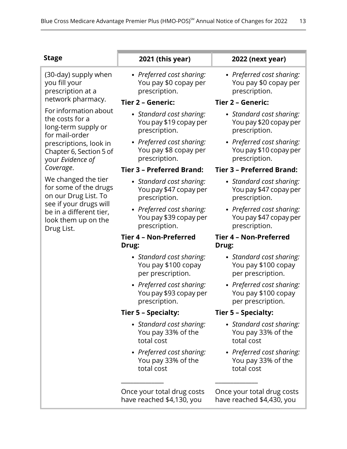| <b>Stage</b>                                                                                                                                                   | 2021 (this year)                                                     | 2022 (next year)                                                      |
|----------------------------------------------------------------------------------------------------------------------------------------------------------------|----------------------------------------------------------------------|-----------------------------------------------------------------------|
| (30-day) supply when<br>you fill your<br>prescription at a                                                                                                     | • Preferred cost sharing:<br>You pay \$0 copay per<br>prescription.  | • Preferred cost sharing:<br>You pay \$0 copay per<br>prescription.   |
| network pharmacy.                                                                                                                                              | Tier 2 - Generic:                                                    | Tier 2 - Generic:                                                     |
| For information about<br>the costs for a<br>long-term supply or<br>for mail-order<br>prescriptions, look in<br>Chapter 6, Section 5 of<br>your Evidence of     | • Standard cost sharing:<br>You pay \$19 copay per<br>prescription.  | • Standard cost sharing:<br>You pay \$20 copay per<br>prescription.   |
|                                                                                                                                                                | • Preferred cost sharing:<br>You pay \$8 copay per<br>prescription.  | • Preferred cost sharing:<br>You pay \$10 copay per<br>prescription.  |
| Coverage.                                                                                                                                                      | <b>Tier 3 - Preferred Brand:</b>                                     | <b>Tier 3 - Preferred Brand:</b>                                      |
| We changed the tier<br>for some of the drugs<br>on our Drug List. To<br>see if your drugs will<br>be in a different tier,<br>look them up on the<br>Drug List. | • Standard cost sharing:<br>You pay \$47 copay per<br>prescription.  | • Standard cost sharing:<br>You pay \$47 copay per<br>prescription.   |
|                                                                                                                                                                | • Preferred cost sharing:<br>You pay \$39 copay per<br>prescription. | • Preferred cost sharing:<br>You pay \$47 copay per<br>prescription.  |
|                                                                                                                                                                | <b>Tier 4 - Non-Preferred</b>                                        | <b>Tier 4 - Non-Preferred</b>                                         |
|                                                                                                                                                                | Drug:                                                                | Drug:                                                                 |
|                                                                                                                                                                | • Standard cost sharing:<br>You pay \$100 copay<br>per prescription. | • Standard cost sharing:<br>You pay \$100 copay<br>per prescription.  |
|                                                                                                                                                                | • Preferred cost sharing:<br>You pay \$93 copay per<br>prescription. | • Preferred cost sharing:<br>You pay \$100 copay<br>per prescription. |
|                                                                                                                                                                | Tier 5 - Specialty:                                                  | <b>Tier 5 - Specialty:</b>                                            |
|                                                                                                                                                                | • Standard cost sharing:<br>You pay 33% of the<br>total cost         | • Standard cost sharing:<br>You pay 33% of the<br>total cost          |
|                                                                                                                                                                | • Preferred cost sharing:<br>You pay 33% of the<br>total cost        | • Preferred cost sharing:<br>You pay 33% of the<br>total cost         |
|                                                                                                                                                                | Once your total drug costs                                           | Once your total drug costs                                            |

have reached \$4,130, you

Once your total drug costs have reached \$4,430, you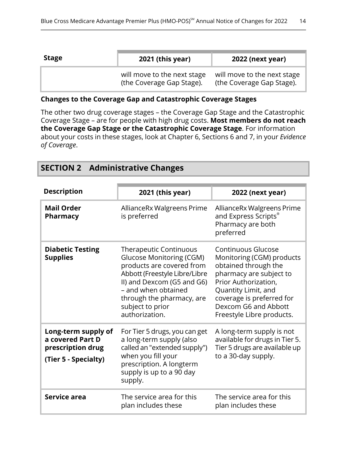| <b>Stage</b> | 2021 (this year)                                         | <b>2022 (next year)</b>                                  |
|--------------|----------------------------------------------------------|----------------------------------------------------------|
|              | will move to the next stage<br>(the Coverage Gap Stage). | will move to the next stage<br>(the Coverage Gap Stage). |

#### **Changes to the Coverage Gap and Catastrophic Coverage Stages**

The other two drug coverage stages – the Coverage Gap Stage and the Catastrophic Coverage Stage – are for people with high drug costs. **Most members do not reach the Coverage Gap Stage or the Catastrophic Coverage Stage**. For information about your costs in these stages, look at Chapter 6, Sections 6 and 7, in your *Evidence of Coverage*.

<span id="page-16-0"></span>

|  | <b>SECTION 2 Administrative Changes</b> |  |
|--|-----------------------------------------|--|
|--|-----------------------------------------|--|

| <b>Description</b>                                                                   | 2021 (this year)                                                                                                                                                                                                                                       | 2022 (next year)                                                                                                                                                                                                                           |
|--------------------------------------------------------------------------------------|--------------------------------------------------------------------------------------------------------------------------------------------------------------------------------------------------------------------------------------------------------|--------------------------------------------------------------------------------------------------------------------------------------------------------------------------------------------------------------------------------------------|
| <b>Mail Order</b><br>Pharmacy                                                        | AllianceRx Walgreens Prime<br>is preferred                                                                                                                                                                                                             | AllianceRx Walgreens Prime<br>and Express Scripts®<br>Pharmacy are both<br>preferred                                                                                                                                                       |
| <b>Diabetic Testing</b><br><b>Supplies</b>                                           | <b>Therapeutic Continuous</b><br><b>Glucose Monitoring (CGM)</b><br>products are covered from<br>Abbott (Freestyle Libre/Libre<br>II) and Dexcom (G5 and G6)<br>- and when obtained<br>through the pharmacy, are<br>subject to prior<br>authorization. | <b>Continuous Glucose</b><br>Monitoring (CGM) products<br>obtained through the<br>pharmacy are subject to<br>Prior Authorization,<br>Quantity Limit, and<br>coverage is preferred for<br>Dexcom G6 and Abbott<br>Freestyle Libre products. |
| Long-term supply of<br>a covered Part D<br>prescription drug<br>(Tier 5 - Specialty) | For Tier 5 drugs, you can get<br>a long-term supply (also<br>called an "extended supply")<br>when you fill your<br>prescription. A longterm<br>supply is up to a 90 day<br>supply.                                                                     | A long-term supply is not<br>available for drugs in Tier 5.<br>Tier 5 drugs are available up<br>to a 30-day supply.                                                                                                                        |
| Service area                                                                         | The service area for this<br>plan includes these                                                                                                                                                                                                       | The service area for this<br>plan includes these                                                                                                                                                                                           |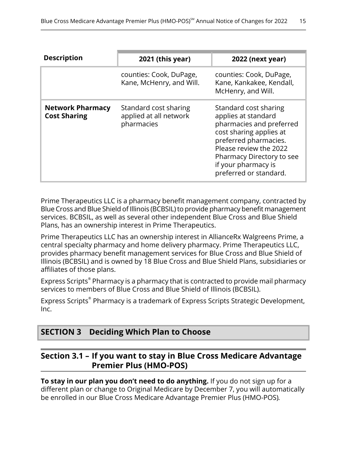| <b>Description</b>                             | 2021 (this year)                                              | <b>2022 (next year)</b>                                                                                                                                                                                                              |
|------------------------------------------------|---------------------------------------------------------------|--------------------------------------------------------------------------------------------------------------------------------------------------------------------------------------------------------------------------------------|
|                                                | counties: Cook, DuPage,<br>Kane, McHenry, and Will.           | counties: Cook, DuPage,<br>Kane, Kankakee, Kendall,<br>McHenry, and Will.                                                                                                                                                            |
| <b>Network Pharmacy</b><br><b>Cost Sharing</b> | Standard cost sharing<br>applied at all network<br>pharmacies | Standard cost sharing<br>applies at standard<br>pharmacies and preferred<br>cost sharing applies at<br>preferred pharmacies.<br>Please review the 2022<br>Pharmacy Directory to see<br>if your pharmacy is<br>preferred or standard. |

Prime Therapeutics LLC is a pharmacy benefit management company, contracted by Blue Cross and Blue Shield of Illinois (BCBSIL) to provide pharmacy benefit management services. BCBSIL, as well as several other independent Blue Cross and Blue Shield Plans, has an ownership interest in Prime Therapeutics.

Prime Therapeutics LLC has an ownership interest in AllianceRx Walgreens Prime, a central specialty pharmacy and home delivery pharmacy. Prime Therapeutics LLC, provides pharmacy benefit management services for Blue Cross and Blue Shield of Illinois (BCBSIL) and is owned by 18 Blue Cross and Blue Shield Plans, subsidiaries or affiliates of those plans.

Express Scripts® Pharmacy is a pharmacy that is contracted to provide mail pharmacy services to members of Blue Cross and Blue Shield of Illinois (BCBSIL).

<span id="page-17-0"></span>Express Scripts® Pharmacy is a trademark of Express Scripts Strategic Development, Inc.

### <span id="page-17-1"></span>**SECTION 3 Deciding Which Plan to Choose**

### **Section 3.1 – If you want to stay in Blue Cross Medicare Advantage Premier Plus (HMO-POS)**

**To stay in our plan you don't need to do anything.** If you do not sign up for a different plan or change to Original Medicare by December 7, you will automatically be enrolled in our Blue Cross Medicare Advantage Premier Plus (HMO-POS)*.*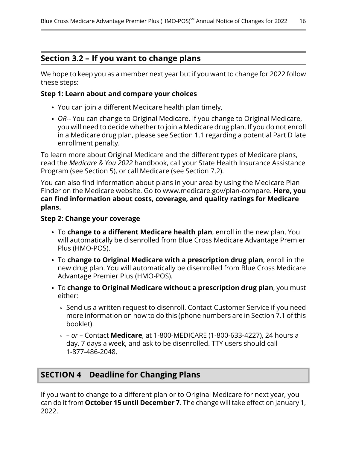### <span id="page-18-0"></span>**Section 3.2 – If you want to change plans**

We hope to keep you as a member next year but if you want to change for 2022 follow these steps:

#### **Step 1: Learn about and compare your choices**

- You can join a different Medicare health plan timely,
- *OR*-- You can change to Original Medicare. If you change to Original Medicare, you will need to decide whether to join a Medicare drug plan. If you do not enroll in a Medicare drug plan, please see Section [1.1](#page-8-0) regarding a potential Part D late enrollment penalty.

To learn more about Original Medicare and the different types of Medicare plans, read the *Medicare & You 2022* handbook, call your State Health Insurance Assistance Program (see Section [5](#page-19-0)), or call Medicare (see Section [7.2\)](#page-21-0).

You can also find information about plans in your area by using the Medicare Plan Finder on the Medicare website. Go to [www.medicare.gov/plan-compare](http://www.medicare.gov/plan-compare). **Here, you can find information about costs, coverage, and quality ratings for Medicare plans.**

#### **Step 2: Change your coverage**

- To **change to a different Medicare health plan**, enroll in the new plan. You will automatically be disenrolled from Blue Cross Medicare Advantage Premier Plus (HMO-POS).
- To **change to Original Medicare with a prescription drug plan**, enroll in the new drug plan. You will automatically be disenrolled from Blue Cross Medicare Advantage Premier Plus (HMO-POS).
- To **change to Original Medicare without a prescription drug plan**, you must either:
	- ∘ Send us a written request to disenroll. Contact Customer Service if you need more information on how to do this (phone numbers are in Section [7.1](#page-20-1) of this booklet).
	- *– or –* Contact **Medicare**, at 1-800-MEDICARE (1-800-633-4227), 24 hours a day, 7 days a week, and ask to be disenrolled. TTY users should call 1-877-486-2048.

### <span id="page-18-1"></span>**SECTION 4 Deadline for Changing Plans**

If you want to change to a different plan or to Original Medicare for next year, you can do it from **October 15 until December 7**. The change will take effect on January 1, 2022.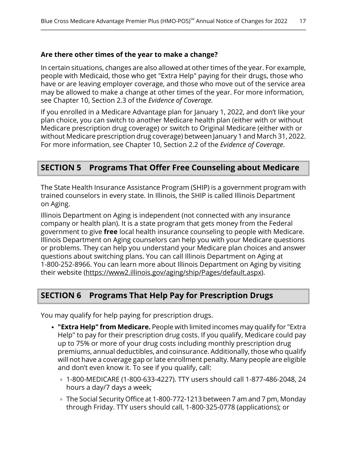#### **Are there other times of the year to make a change?**

In certain situations, changes are also allowed at other times of the year. For example, people with Medicaid, those who get "Extra Help" paying for their drugs, those who have or are leaving employer coverage, and those who move out of the service area may be allowed to make a change at other times of the year. For more information, see Chapter 10, Section 2.3 of the *Evidence of Coverage.*

If you enrolled in a Medicare Advantage plan for January 1, 2022, and don't like your plan choice, you can switch to another Medicare health plan (either with or without Medicare prescription drug coverage) or switch to Original Medicare (either with or without Medicare prescription drug coverage) between January 1 and March 31, 2022. For more information, see Chapter 10, Section 2.2 of the *Evidence of Coverage*.

### <span id="page-19-0"></span>**SECTION 5 Programs That Offer Free Counseling about Medicare**

The State Health Insurance Assistance Program (SHIP) is a government program with trained counselors in every state. In Illinois, the SHIP is called Illinois Department on Aging.

Illinois Department on Aging is independent (not connected with any insurance company or health plan). It is a state program that gets money from the Federal government to give **free** local health insurance counseling to people with Medicare. Illinois Department on Aging counselors can help you with your Medicare questions or problems. They can help you understand your Medicare plan choices and answer questions about switching plans. You can call Illinois Department on Aging at 1-800-252-8966. You can learn more about Illinois Department on Aging by visiting their website [\(https://www2.illinois.gov/aging/ship/Pages/default.aspx](https://www2.illinois.gov/aging/ship/Pages/default.aspx)).

### <span id="page-19-1"></span>**SECTION 6 Programs That Help Pay for Prescription Drugs**

You may qualify for help paying for prescription drugs.

- **"Extra Help" from Medicare.** People with limited incomes may qualify for "Extra Help" to pay for their prescription drug costs. If you qualify, Medicare could pay up to 75% or more of your drug costs including monthly prescription drug premiums, annual deductibles, and coinsurance. Additionally, those who qualify will not have a coverage gap or late enrollment penalty. Many people are eligible and don't even know it. To see if you qualify, call:
	- 1-800-MEDICARE (1-800-633-4227). TTY users should call 1-877-486-2048, 24 hours a day/7 days a week;
	- The Social Security Office at 1-800-772-1213 between 7 am and 7 pm, Monday through Friday. TTY users should call, 1-800-325-0778 (applications); or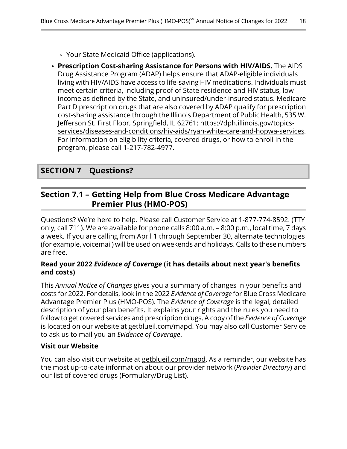- Your State Medicaid Office (applications).
- **Prescription Cost-sharing Assistance for Persons with HIV/AIDS.** The AIDS Drug Assistance Program (ADAP) helps ensure that ADAP-eligible individuals living with HIV/AIDS have access to life-saving HIV medications. Individuals must meet certain criteria, including proof of State residence and HIV status, low income as defined by the State, and uninsured/under-insured status. Medicare Part D prescription drugs that are also covered by ADAP qualify for prescription cost-sharing assistance through the Illinois Department of Public Health, 535 W. Jefferson St. First Floor, Springfield, IL 62761; [https://dph.illinois.gov/topics](https://dph.illinois.gov/topics-services/diseases-and-conditions/hiv-aids/ryan-white-care-and-hopwa-services) [services/diseases-and-conditions/hiv-aids/ryan-white-care-and-hopwa-services.](https://dph.illinois.gov/topics-services/diseases-and-conditions/hiv-aids/ryan-white-care-and-hopwa-services) For information on eligibility criteria, covered drugs, or how to enroll in the program, please call 1-217-782-4977.

### <span id="page-20-1"></span><span id="page-20-0"></span>**SECTION 7 Questions?**

### **Section 7.1 – Getting Help from Blue Cross Medicare Advantage Premier Plus (HMO-POS)**

Questions? We're here to help. Please call Customer Service at 1-877-774-8592. (TTY only, call 711). We are available for phone calls 8:00 a.m. – 8:00 p.m., local time, 7 days a week. If you are calling from April 1 through September 30, alternate technologies (for example, voicemail) will be used on weekends and holidays. Calls to these numbers are free.

#### **Read your 2022** *Evidence of Coverage* **(it has details about next year's benefits and costs)**

This *Annual Notice of Changes* gives you a summary of changes in your benefits and costs for 2022. For details, look in the 2022 *Evidence of Coverage* for Blue Cross Medicare Advantage Premier Plus (HMO-POS)*.* The *Evidence of Coverage* is the legal, detailed description of your plan benefits. It explains your rights and the rules you need to follow to get covered services and prescription drugs. A copy of the *Evidence of Coverage* is located on our website at [getblueil.com/mapd](https://www.bcbsil.com/medicare/blue-cross-medicare-options/mapd). You may also call Customer Service to ask us to mail you an *Evidence of Coverage*.

#### **Visit our Website**

You can also visit our website at [getblueil.com/mapd.](https://www.bcbsil.com/medicare/blue-cross-medicare-options/mapd) As a reminder, our website has the most up-to-date information about our provider network (*Provider Directory*) and our list of covered drugs (Formulary/Drug List).